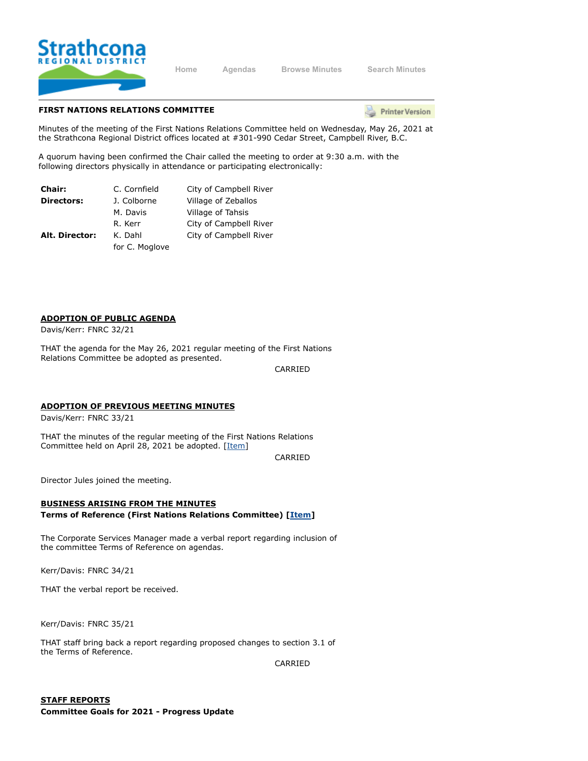

**[Home](https://srd.ca/) [Agendas](https://agenda.strathconard.ca/srdboardmeetings/content.asp?id=80) [Browse Minutes](https://agenda.strathconard.ca/srdboardmeetings/content.asp?id=81) [Search Minutes](https://agenda.strathconard.ca/srdboardmeetings/index.aspx)**

### **FIRST NATIONS RELATIONS COMMITTEE**

**Printer Version** 

Minutes of the meeting of the First Nations Relations Committee held on Wednesday, May 26, 2021 at the Strathcona Regional District offices located at #301-990 Cedar Street, Campbell River, B.C.

A quorum having been confirmed the Chair called the meeting to order at 9:30 a.m. with the following directors physically in attendance or participating electronically:

| <b>Chair:</b>     | C. Cornfield   | City of Campbell River |
|-------------------|----------------|------------------------|
| <b>Directors:</b> | J. Colborne    | Village of Zeballos    |
|                   | M. Davis       | Village of Tahsis      |
|                   | R. Kerr        | City of Campbell River |
| Alt. Director:    | K. Dahl        | City of Campbell River |
|                   | for C. Moglove |                        |

### **ADOPTION OF PUBLIC AGENDA**

Davis/Kerr: FNRC 32/21

THAT the agenda for the May 26, 2021 regular meeting of the First Nations Relations Committee be adopted as presented.

CARRIED

#### **ADOPTION OF PREVIOUS MEETING MINUTES**

Davis/Kerr: FNRC 33/21

THAT the minutes of the regular meeting of the First Nations Relations Committee held on April 28, 2021 be adopted. [\[Item\]](https://agenda.strathconard.ca/SRDAttachments/SRDCommittees/Open/FNRC/26-May-21/20210428-FNRC-MINUTES.pdf)

CARRIED

Director Jules joined the meeting.

## **BUSINESS ARISING FROM THE MINUTES Terms of Reference (First Nations Relations Committee) [\[Item\]](https://agenda.strathconard.ca/SRDAttachments/SRDCommittees/Open/FNRC/26-May-21/Terms-of-Reference---First-Nations-Relations-Committee-Adopted-by-Board.pdf)**

The Corporate Services Manager made a verbal report regarding inclusion of the committee Terms of Reference on agendas.

Kerr/Davis: FNRC 34/21

THAT the verbal report be received.

Kerr/Davis: FNRC 35/21

THAT staff bring back a report regarding proposed changes to section 3.1 of the Terms of Reference.

CARRIED